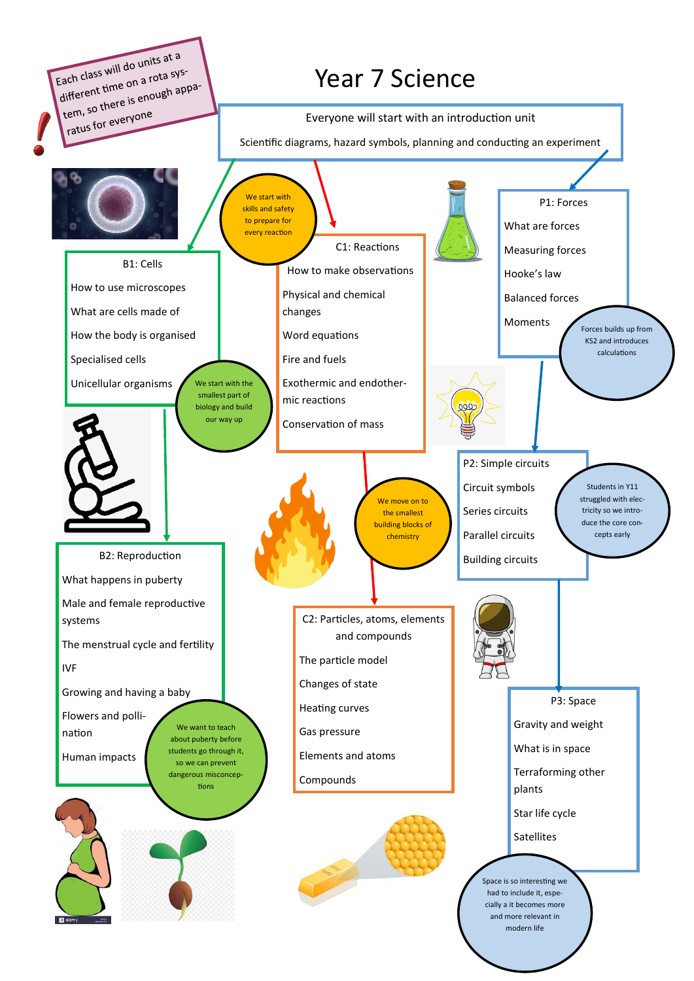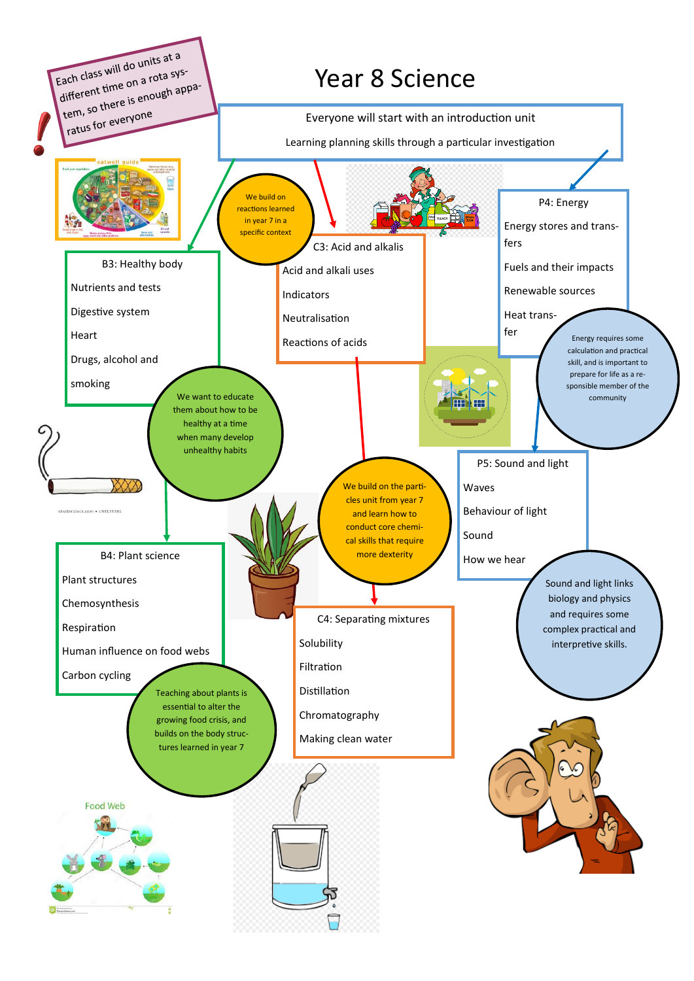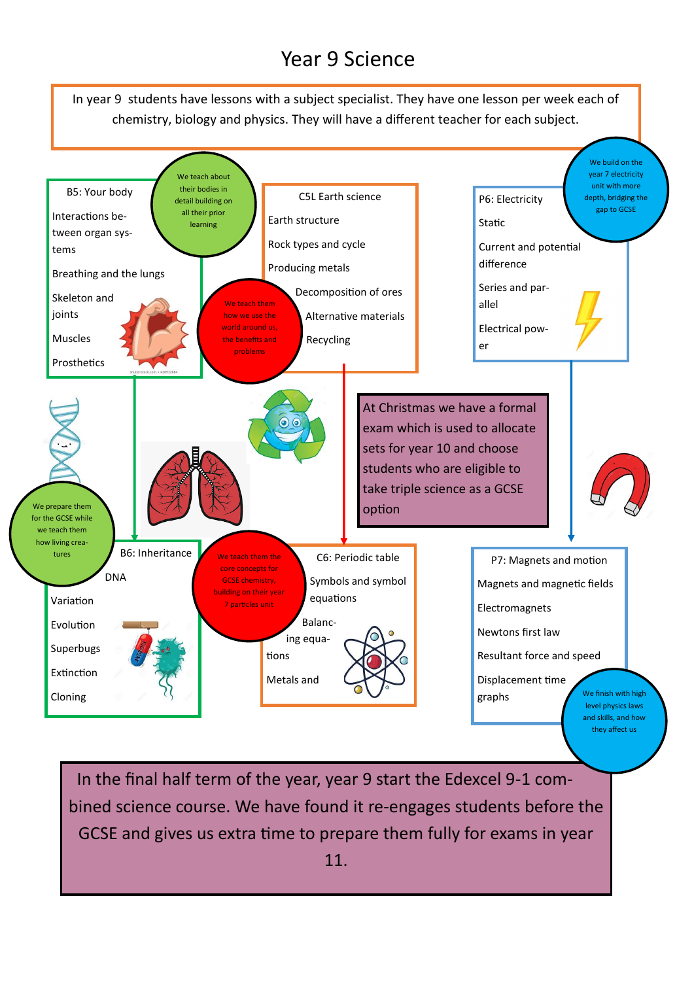## Year 9 Science



In the final half term of the year, year 9 start the Edexcel 9-1 combined science course. We have found it re-engages students before the GCSE and gives us extra time to prepare them fully for exams in year 11.